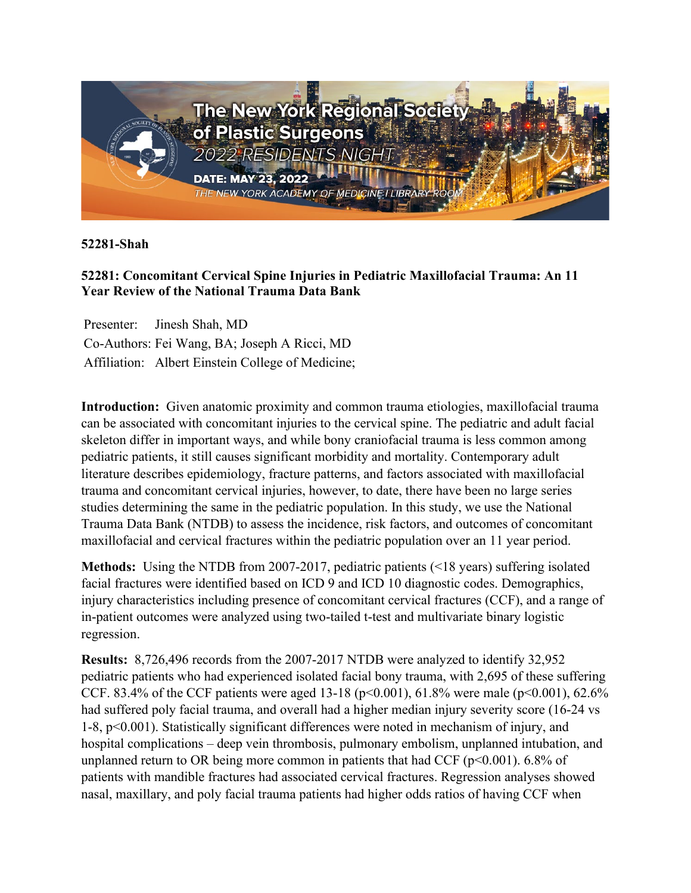

**52281-Shah**

## **52281: Concomitant Cervical Spine Injuries in Pediatric Maxillofacial Trauma: An 11 Year Review of the National Trauma Data Bank**

Presenter: Jinesh Shah, MD Co-Authors: Fei Wang, BA; Joseph A Ricci, MD Affiliation: Albert Einstein College of Medicine;

**Introduction:** Given anatomic proximity and common trauma etiologies, maxillofacial trauma can be associated with concomitant injuries to the cervical spine. The pediatric and adult facial skeleton differ in important ways, and while bony craniofacial trauma is less common among pediatric patients, it still causes significant morbidity and mortality. Contemporary adult literature describes epidemiology, fracture patterns, and factors associated with maxillofacial trauma and concomitant cervical injuries, however, to date, there have been no large series studies determining the same in the pediatric population. In this study, we use the National Trauma Data Bank (NTDB) to assess the incidence, risk factors, and outcomes of concomitant maxillofacial and cervical fractures within the pediatric population over an 11 year period.

**Methods:** Using the NTDB from 2007-2017, pediatric patients (<18 years) suffering isolated facial fractures were identified based on ICD 9 and ICD 10 diagnostic codes. Demographics, injury characteristics including presence of concomitant cervical fractures (CCF), and a range of in-patient outcomes were analyzed using two-tailed t-test and multivariate binary logistic regression.

**Results:** 8,726,496 records from the 2007-2017 NTDB were analyzed to identify 32,952 pediatric patients who had experienced isolated facial bony trauma, with 2,695 of these suffering CCF. 83.4% of the CCF patients were aged 13-18 (p<0.001), 61.8% were male (p<0.001), 62.6% had suffered poly facial trauma, and overall had a higher median injury severity score (16-24 vs 1-8, p<0.001). Statistically significant differences were noted in mechanism of injury, and hospital complications – deep vein thrombosis, pulmonary embolism, unplanned intubation, and unplanned return to OR being more common in patients that had CCF ( $p$ <0.001). 6.8% of patients with mandible fractures had associated cervical fractures. Regression analyses showed nasal, maxillary, and poly facial trauma patients had higher odds ratios of having CCF when